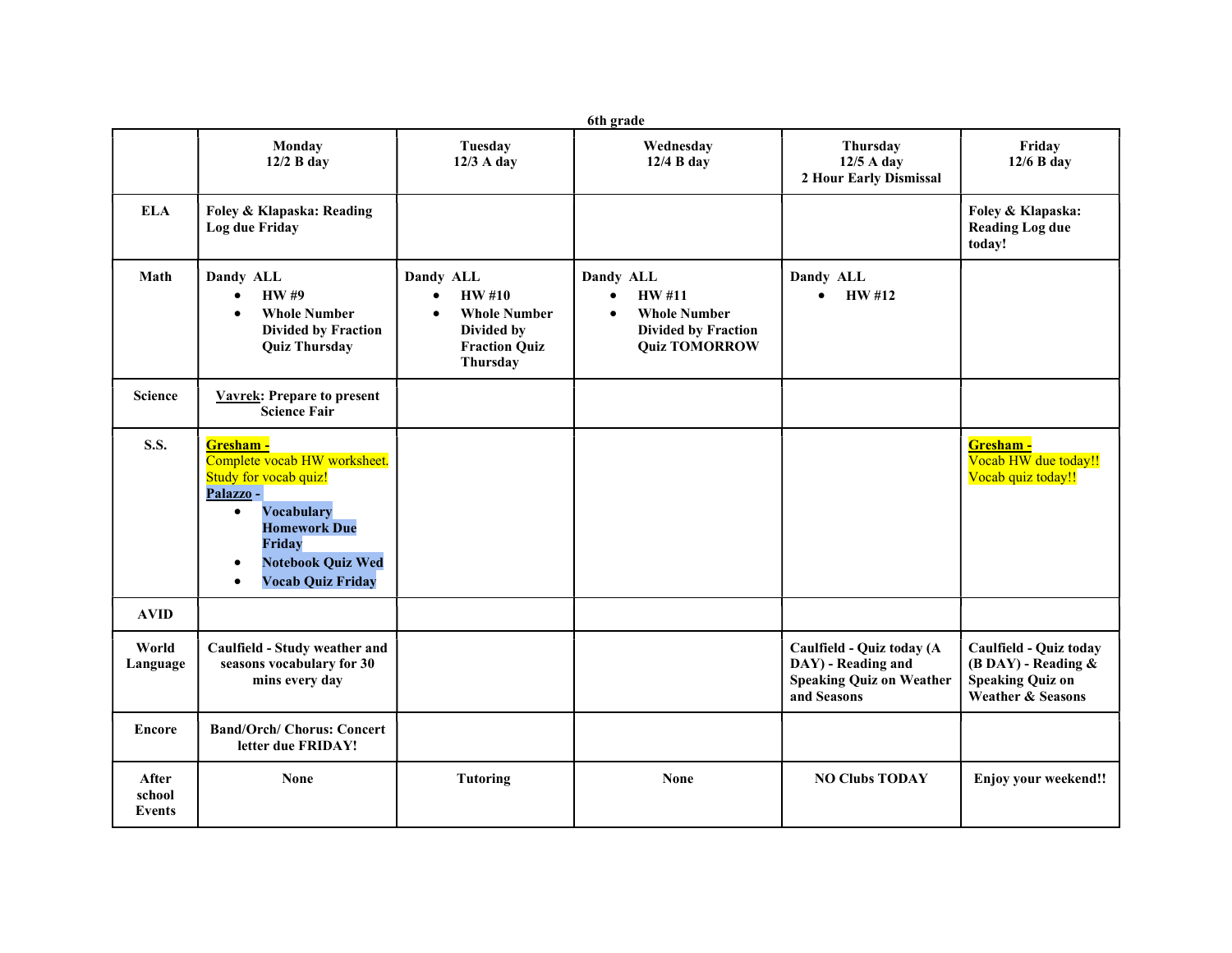| 6th grade                 |                                                                                                                                                                                                                                             |                                                                                                                 |                                                                                                                            |                                                                                                   |                                                                                                    |  |
|---------------------------|---------------------------------------------------------------------------------------------------------------------------------------------------------------------------------------------------------------------------------------------|-----------------------------------------------------------------------------------------------------------------|----------------------------------------------------------------------------------------------------------------------------|---------------------------------------------------------------------------------------------------|----------------------------------------------------------------------------------------------------|--|
|                           | Monday<br>$12/2$ B day                                                                                                                                                                                                                      | <b>Tuesday</b><br>12/3 A day                                                                                    | Wednesday<br>12/4 B day                                                                                                    | Thursday<br>$12/5$ A day<br>2 Hour Early Dismissal                                                | Friday<br>$12/6$ B day                                                                             |  |
| <b>ELA</b>                | Foley & Klapaska: Reading<br>Log due Friday                                                                                                                                                                                                 |                                                                                                                 |                                                                                                                            |                                                                                                   | Foley & Klapaska:<br><b>Reading Log due</b><br>today!                                              |  |
| Math                      | Dandy ALL<br><b>HW#9</b><br>$\bullet$<br><b>Whole Number</b><br>$\bullet$<br><b>Divided by Fraction</b><br><b>Quiz Thursday</b>                                                                                                             | Dandy ALL<br><b>HW#10</b><br>$\bullet$<br><b>Whole Number</b><br>Divided by<br><b>Fraction Quiz</b><br>Thursday | Dandy ALL<br>HW #11<br>$\bullet$<br><b>Whole Number</b><br>$\bullet$<br><b>Divided by Fraction</b><br><b>Quiz TOMORROW</b> | Dandy ALL<br><b>HW#12</b><br>$\bullet$                                                            |                                                                                                    |  |
| <b>Science</b>            | <b>Vavrek: Prepare to present</b><br><b>Science Fair</b>                                                                                                                                                                                    |                                                                                                                 |                                                                                                                            |                                                                                                   |                                                                                                    |  |
| <b>S.S.</b>               | Gresham -<br>Complete vocab HW worksheet.<br>Study for vocab quiz!<br>Palazzo -<br><b>Vocabulary</b><br>$\bullet$<br><b>Homework Due</b><br><b>Friday</b><br><b>Notebook Quiz Wed</b><br>$\bullet$<br><b>Vocab Quiz Friday</b><br>$\bullet$ |                                                                                                                 |                                                                                                                            |                                                                                                   | Gresham -<br>Vocab HW due today!!<br>Vocab quiz today!!                                            |  |
| <b>AVID</b>               |                                                                                                                                                                                                                                             |                                                                                                                 |                                                                                                                            |                                                                                                   |                                                                                                    |  |
| World<br>Language         | Caulfield - Study weather and<br>seasons vocabulary for 30<br>mins every day                                                                                                                                                                |                                                                                                                 |                                                                                                                            | Caulfield - Quiz today (A<br>DAY) - Reading and<br><b>Speaking Quiz on Weather</b><br>and Seasons | Caulfield - Quiz today<br>$(B$ DAY) - Reading $\&$<br><b>Speaking Quiz on</b><br>Weather & Seasons |  |
| <b>Encore</b>             | <b>Band/Orch/ Chorus: Concert</b><br>letter due FRIDAY!                                                                                                                                                                                     |                                                                                                                 |                                                                                                                            |                                                                                                   |                                                                                                    |  |
| After<br>school<br>Events | <b>None</b>                                                                                                                                                                                                                                 | <b>Tutoring</b>                                                                                                 | <b>None</b>                                                                                                                | <b>NO Clubs TODAY</b>                                                                             | <b>Enjoy your weekend!!</b>                                                                        |  |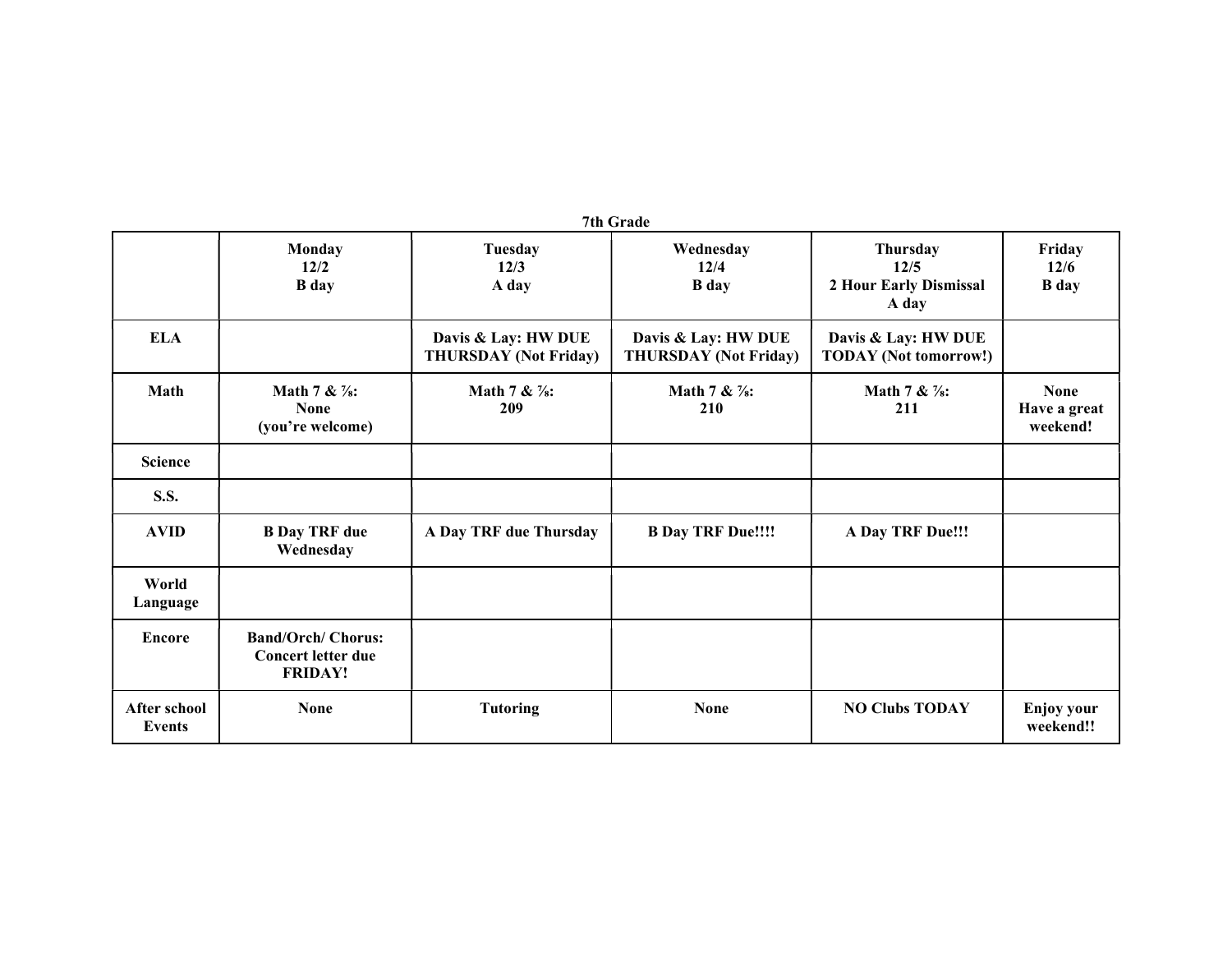|                                      |                                                                          |                                                     | 7th Grade                                           |                                                     |                                         |
|--------------------------------------|--------------------------------------------------------------------------|-----------------------------------------------------|-----------------------------------------------------|-----------------------------------------------------|-----------------------------------------|
|                                      | <b>Monday</b><br>12/2<br><b>B</b> day                                    | <b>Tuesday</b><br>12/3<br>A day                     | Wednesday<br>12/4<br><b>B</b> day                   | Thursday<br>12/5<br>2 Hour Early Dismissal<br>A day | Friday<br>12/6<br><b>B</b> day          |
| <b>ELA</b>                           |                                                                          | Davis & Lay: HW DUE<br><b>THURSDAY</b> (Not Friday) | Davis & Lay: HW DUE<br><b>THURSDAY</b> (Not Friday) | Davis & Lay: HW DUE<br><b>TODAY</b> (Not tomorrow!) |                                         |
| Math                                 | Math 7 & $\frac{7}{8}$ :<br><b>None</b><br>(you're welcome)              | Math 7 & $\frac{7}{8}$ :<br>209                     | Math 7 & $\frac{7}{8}$ :<br>210                     | Math 7 & $\frac{7}{8}$ :<br>211                     | <b>None</b><br>Have a great<br>weekend! |
| <b>Science</b>                       |                                                                          |                                                     |                                                     |                                                     |                                         |
| <b>S.S.</b>                          |                                                                          |                                                     |                                                     |                                                     |                                         |
| <b>AVID</b>                          | <b>B</b> Day TRF due<br>Wednesday                                        | A Day TRF due Thursday                              | <b>B Day TRF Due!!!!</b>                            | A Day TRF Due!!!                                    |                                         |
| World<br>Language                    |                                                                          |                                                     |                                                     |                                                     |                                         |
| <b>Encore</b>                        | <b>Band/Orch/ Chorus:</b><br><b>Concert letter due</b><br><b>FRIDAY!</b> |                                                     |                                                     |                                                     |                                         |
| <b>After school</b><br><b>Events</b> | <b>None</b>                                                              | <b>Tutoring</b>                                     | <b>None</b>                                         | <b>NO Clubs TODAY</b>                               | <b>Enjoy your</b><br>weekend!!          |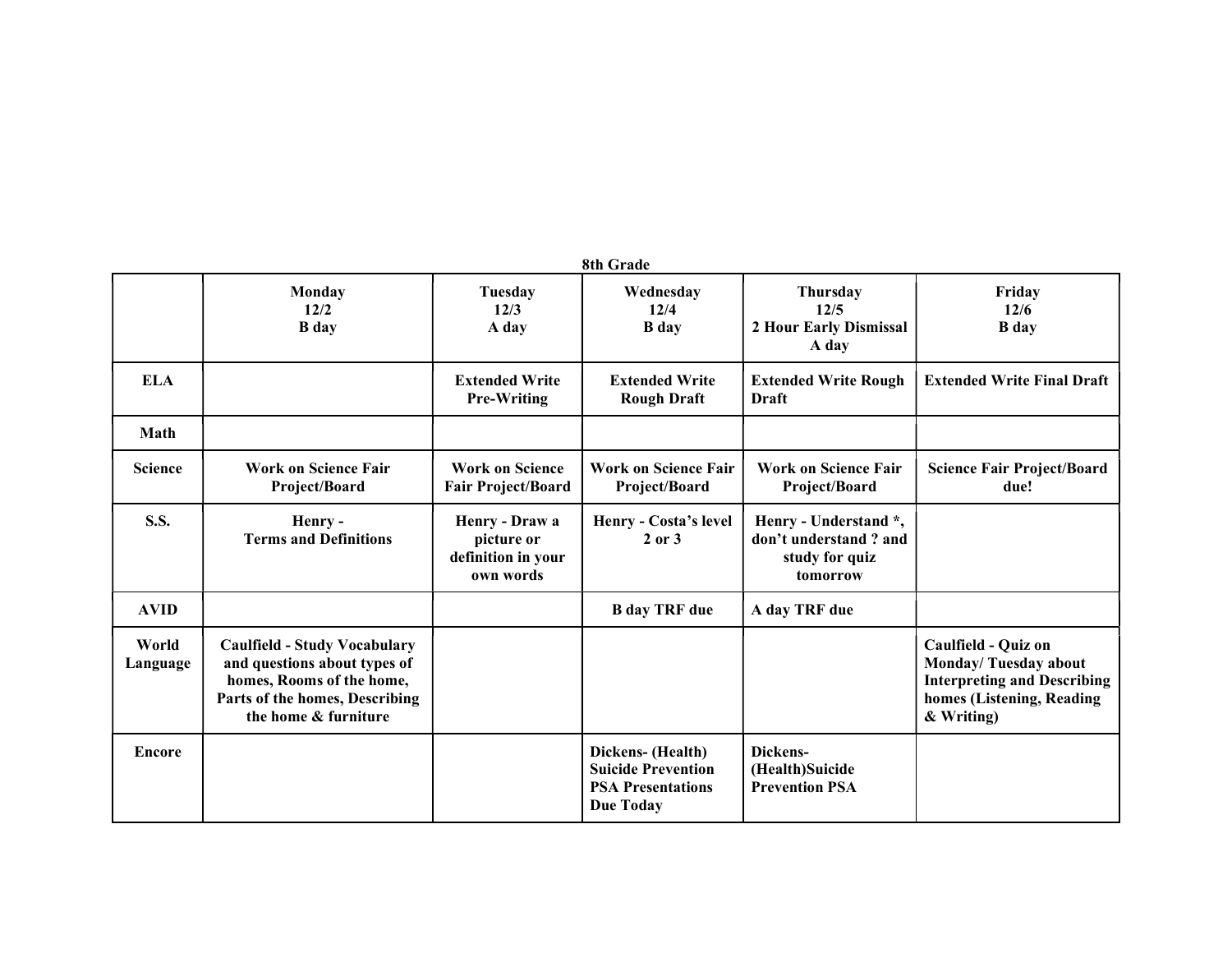| 8th Grade         |                                                                                                                                                            |                                                                 |                                                                                                |                                                                              |                                                                                                                              |  |
|-------------------|------------------------------------------------------------------------------------------------------------------------------------------------------------|-----------------------------------------------------------------|------------------------------------------------------------------------------------------------|------------------------------------------------------------------------------|------------------------------------------------------------------------------------------------------------------------------|--|
|                   | Monday<br>12/2<br><b>B</b> day                                                                                                                             | Tuesday<br>12/3<br>A day                                        | Wednesday<br>12/4<br><b>B</b> day                                                              | Thursday<br>12/5<br>2 Hour Early Dismissal<br>A day                          | Friday<br>12/6<br><b>B</b> day                                                                                               |  |
| <b>ELA</b>        |                                                                                                                                                            | <b>Extended Write</b><br><b>Pre-Writing</b>                     | <b>Extended Write</b><br><b>Rough Draft</b>                                                    | <b>Extended Write Rough</b><br><b>Draft</b>                                  | <b>Extended Write Final Draft</b>                                                                                            |  |
| Math              |                                                                                                                                                            |                                                                 |                                                                                                |                                                                              |                                                                                                                              |  |
| <b>Science</b>    | <b>Work on Science Fair</b><br>Project/Board                                                                                                               | <b>Work on Science</b><br><b>Fair Project/Board</b>             | <b>Work on Science Fair</b><br>Project/Board                                                   | <b>Work on Science Fair</b><br>Project/Board                                 | <b>Science Fair Project/Board</b><br>due!                                                                                    |  |
| <b>S.S.</b>       | Henry-<br><b>Terms and Definitions</b>                                                                                                                     | Henry - Draw a<br>picture or<br>definition in your<br>own words | Henry - Costa's level<br>$2$ or $3$                                                            | Henry - Understand *,<br>don't understand? and<br>study for quiz<br>tomorrow |                                                                                                                              |  |
| <b>AVID</b>       |                                                                                                                                                            |                                                                 | <b>B</b> day TRF due                                                                           | A day TRF due                                                                |                                                                                                                              |  |
| World<br>Language | <b>Caulfield - Study Vocabulary</b><br>and questions about types of<br>homes, Rooms of the home,<br>Parts of the homes, Describing<br>the home & furniture |                                                                 |                                                                                                |                                                                              | Caulfield - Quiz on<br>Monday/Tuesday about<br><b>Interpreting and Describing</b><br>homes (Listening, Reading<br>& Writing) |  |
| Encore            |                                                                                                                                                            |                                                                 | Dickens- (Health)<br><b>Suicide Prevention</b><br><b>PSA Presentations</b><br><b>Due Today</b> | Dickens-<br>(Health)Suicide<br><b>Prevention PSA</b>                         |                                                                                                                              |  |